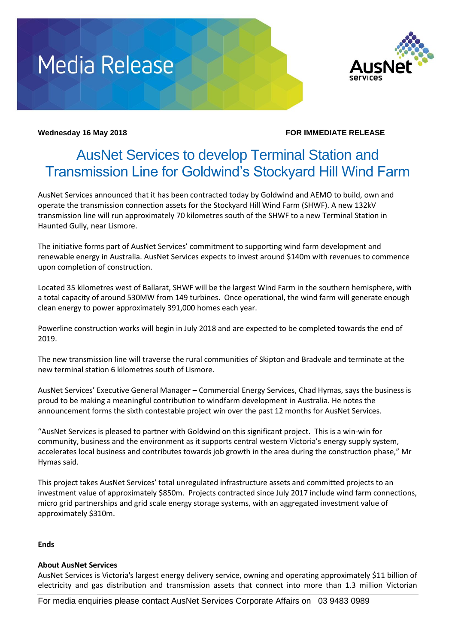# **Media Release**



### **Wednesday 16 May 2018 FOR IMMEDIATE RELEASE**

## AusNet Services to develop Terminal Station and Transmission Line for Goldwind's Stockyard Hill Wind Farm

AusNet Services announced that it has been contracted today by Goldwind and AEMO to build, own and operate the transmission connection assets for the Stockyard Hill Wind Farm (SHWF). A new 132kV transmission line will run approximately 70 kilometres south of the SHWF to a new Terminal Station in Haunted Gully, near Lismore.

The initiative forms part of AusNet Services' commitment to supporting wind farm development and renewable energy in Australia. AusNet Services expects to invest around \$140m with revenues to commence upon completion of construction.

Located 35 kilometres west of Ballarat, SHWF will be the largest Wind Farm in the southern hemisphere, with a total capacity of around 530MW from 149 turbines. Once operational, the wind farm will generate enough clean energy to power approximately 391,000 homes each year.

Powerline construction works will begin in July 2018 and are expected to be completed towards the end of 2019.

The new transmission line will traverse the rural communities of Skipton and Bradvale and terminate at the new terminal station 6 kilometres south of Lismore.

AusNet Services' Executive General Manager – Commercial Energy Services, Chad Hymas, says the business is proud to be making a meaningful contribution to windfarm development in Australia. He notes the announcement forms the sixth contestable project win over the past 12 months for AusNet Services.

"AusNet Services is pleased to partner with Goldwind on this significant project. This is a win-win for community, business and the environment as it supports central western Victoria's energy supply system, accelerates local business and contributes towards job growth in the area during the construction phase," Mr Hymas said.

This project takes AusNet Services' total unregulated infrastructure assets and committed projects to an investment value of approximately \$850m. Projects contracted since July 2017 include wind farm connections, micro grid partnerships and grid scale energy storage systems, with an aggregated investment value of approximately \$310m.

### **Ends**

### **About AusNet Services**

AusNet Services is Victoria's largest energy delivery service, owning and operating approximately \$11 billion of electricity and gas distribution and transmission assets that connect into more than 1.3 million Victorian